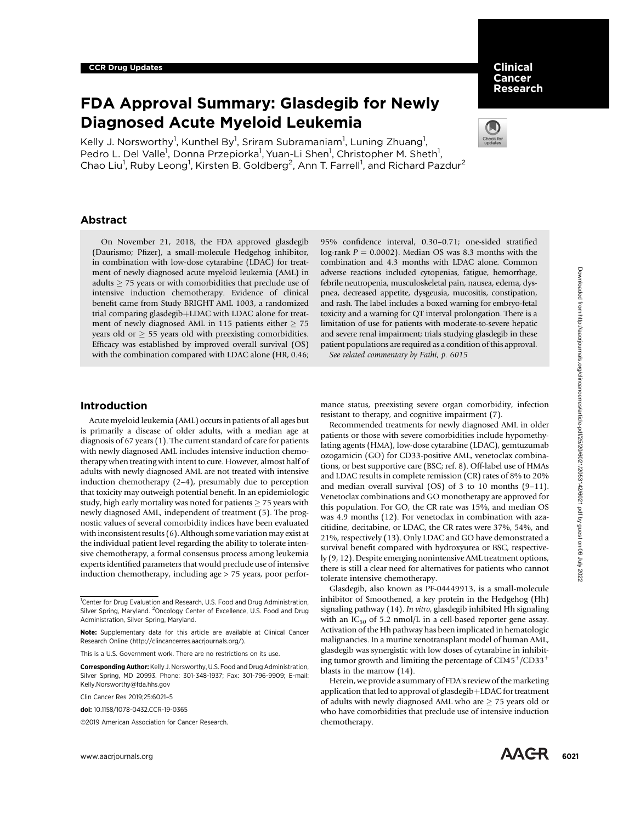# FDA Approval Summary: Glasdegib for Newly Diagnosed Acute Myeloid Leukemia

Kelly J. Norsworthy<sup>1</sup>, Kunthel By<sup>1</sup>, Sriram Subramaniam<sup>1</sup>, Luning Zhuang<sup>1</sup>, Pedro L. Del Valle<sup>1</sup>, Donna Przepiorka<sup>1</sup>, Yuan-Li Shen<sup>1</sup>, Christopher M. Sheth<sup>1</sup>, Chao Liu<sup>1</sup>, Ruby Leong<sup>1</sup>, Kirsten B. Goldberg<sup>2</sup>, Ann T. Farrell<sup>1</sup>, and Richard Pazdur<sup>2</sup>

## Abstract

On November 21, 2018, the FDA approved glasdegib (Daurismo; Pfizer), a small-molecule Hedgehog inhibitor, in combination with low-dose cytarabine (LDAC) for treatment of newly diagnosed acute myeloid leukemia (AML) in adults  $\geq$  75 years or with comorbidities that preclude use of intensive induction chemotherapy. Evidence of clinical benefit came from Study BRIGHT AML 1003, a randomized trial comparing glasdegib+LDAC with LDAC alone for treatment of newly diagnosed AML in 115 patients either  $\geq$  75 years old or  $\geq$  55 years old with preexisting comorbidities. Efficacy was established by improved overall survival (OS) with the combination compared with LDAC alone (HR, 0.46; 95% confidence interval, 0.30–0.71; one-sided stratified log-rank  $P = 0.0002$ ). Median OS was 8.3 months with the combination and 4.3 months with LDAC alone. Common adverse reactions included cytopenias, fatigue, hemorrhage, febrile neutropenia, musculoskeletal pain, nausea, edema, dyspnea, decreased appetite, dysgeusia, mucositis, constipation, and rash. The label includes a boxed warning for embryo-fetal toxicity and a warning for QT interval prolongation. There is a limitation of use for patients with moderate-to-severe hepatic and severe renal impairment; trials studying glasdegib in these patient populations are required as a condition of this approval.

See related commentary by Fathi, p. 6015

# Introduction

Acute myeloid leukemia (AML) occurs in patients of all ages but is primarily a disease of older adults, with a median age at diagnosis of 67 years (1). The current standard of care for patients with newly diagnosed AML includes intensive induction chemotherapy when treating with intent to cure. However, almost half of adults with newly diagnosed AML are not treated with intensive induction chemotherapy (2–4), presumably due to perception that toxicity may outweigh potential benefit. In an epidemiologic study, high early mortality was noted for patients  $\geq$  75 years with newly diagnosed AML, independent of treatment (5). The prognostic values of several comorbidity indices have been evaluated with inconsistent results (6). Although some variation may exist at the individual patient level regarding the ability to tolerate intensive chemotherapy, a formal consensus process among leukemia experts identified parameters that would preclude use of intensive induction chemotherapy, including age > 75 years, poor perforwas of a forest detection and the state in a state is state in the state in the state in the state in the state in the state in the state in the state in the state in the state in the state in the state in the state in t

©2019 American Association for Cancer Research.



Recommended treatments for newly diagnosed AML in older patients or those with severe comorbidities include hypomethylating agents (HMA), low-dose cytarabine (LDAC), gemtuzumab ozogamicin (GO) for CD33-positive AML, venetoclax combinations, or best supportive care (BSC; ref. 8). Off-label use of HMAs and LDAC results in complete remission (CR) rates of 8% to 20% and median overall survival (OS) of 3 to 10 months (9–11). Venetoclax combinations and GO monotherapy are approved for this population. For GO, the CR rate was 15%, and median OS was 4.9 months (12). For venetoclax in combination with azacitidine, decitabine, or LDAC, the CR rates were 37%, 54%, and 21%, respectively (13). Only LDAC and GO have demonstrated a survival benefit compared with hydroxyurea or BSC, respectively (9, 12). Despite emerging nonintensive AML treatment options, there is still a clear need for alternatives for patients who cannot tolerate intensive chemotherapy.

Glasdegib, also known as PF-04449913, is a small-molecule inhibitor of Smoothened, a key protein in the Hedgehog (Hh) signaling pathway (14). In vitro, glasdegib inhibited Hh signaling with an  $IC_{50}$  of 5.2 nmol/L in a cell-based reporter gene assay. Activation of the Hh pathway has been implicated in hematologic malignancies. In a murine xenotransplant model of human AML, glasdegib was synergistic with low doses of cytarabine in inhibiting tumor growth and limiting the percentage of  $CD45<sup>+</sup>/CD33<sup>+</sup>$ blasts in the marrow (14).

Herein, we provide a summary of FDA's review of the marketing application that led to approval of glasdegib  $+$  LDAC for treatment of adults with newly diagnosed AML who are  $\geq$  75 years old or who have comorbidities that preclude use of intensive induction chemotherapy.



Clinical Cancer Research

<sup>&</sup>lt;sup>1</sup>Center for Drug Evaluation and Research, U.S. Food and Drug Administration, Silver Spring, Maryland. <sup>2</sup>Oncology Center of Excellence, U.S. Food and Drug Administration, Silver Spring, Maryland.

Note: Supplementary data for this article are available at Clinical Cancer Research Online (http://clincancerres.aacrjournals.org/).

This is a U.S. Government work. There are no restrictions on its use.

Corresponding Author: Kelly J. Norsworthy, U.S. Food and Drug Administration, Silver Spring, MD 20993. Phone: 301-348-1937; Fax: 301-796-9909; E-mail: Kelly.Norsworthy@fda.hhs.gov

Clin Cancer Res 2019;25:6021–5

doi: 10.1158/1078-0432.CCR-19-0365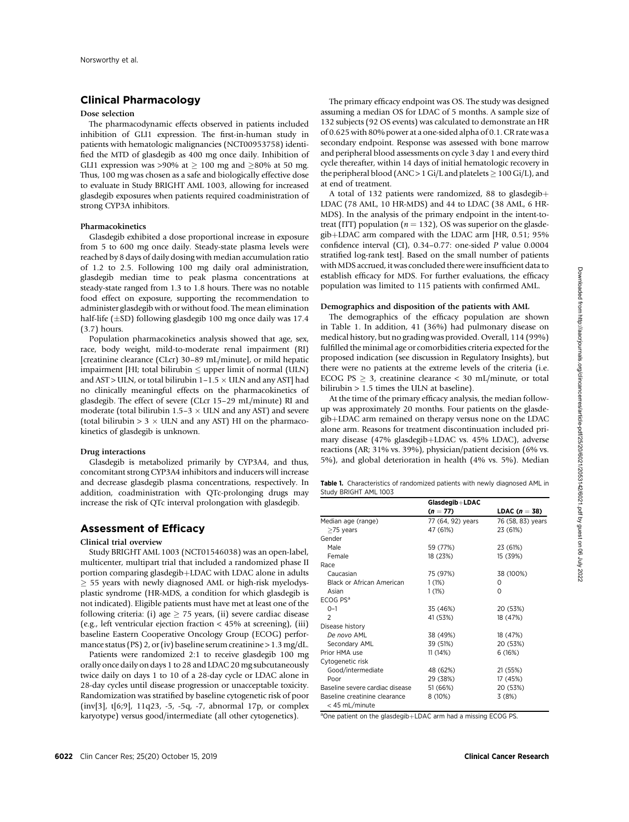# Clinical Pharmacology

#### Dose selection

The pharmacodynamic effects observed in patients included inhibition of GLI1 expression. The first-in-human study in patients with hematologic malignancies (NCT00953758) identified the MTD of glasdegib as 400 mg once daily. Inhibition of GLI1 expression was >90% at  $\geq$  100 mg and  $\geq$ 80% at 50 mg. Thus, 100 mg was chosen as a safe and biologically effective dose to evaluate in Study BRIGHT AML 1003, allowing for increased glasdegib exposures when patients required coadministration of strong CYP3A inhibitors.

#### Pharmacokinetics

Glasdegib exhibited a dose proportional increase in exposure from 5 to 600 mg once daily. Steady-state plasma levels were reached by 8 days of daily dosing with median accumulation ratio of 1.2 to 2.5. Following 100 mg daily oral administration, glasdegib median time to peak plasma concentrations at steady-state ranged from 1.3 to 1.8 hours. There was no notable food effect on exposure, supporting the recommendation to administer glasdegib with or without food. The mean elimination half-life ( $\pm$ SD) following glasdegib 100 mg once daily was 17.4 (3.7) hours.

Population pharmacokinetics analysis showed that age, sex, race, body weight, mild-to-moderate renal impairment (RI) [creatinine clearance (CLcr) 30–89 mL/minute], or mild hepatic impairment [HI; total bilirubin  $\leq$  upper limit of normal (ULN) and AST > ULN, or total bilirubin  $1-1.5 \times$  ULN and any AST] had no clinically meaningful effects on the pharmacokinetics of glasdegib. The effect of severe (CLcr 15–29 mL/minute) RI and moderate (total bilirubin 1.5–3  $\times$  ULN and any AST) and severe (total bilirubin  $> 3 \times$  ULN and any AST) HI on the pharmacokinetics of glasdegib is unknown.

#### Drug interactions

Glasdegib is metabolized primarily by CYP3A4, and thus, concomitant strong CYP3A4 inhibitors and inducers will increase and decrease glasdegib plasma concentrations, respectively. In addition, coadministration with QTc-prolonging drugs may increase the risk of QTc interval prolongation with glasdegib.

# Assessment of Efficacy

#### Clinical trial overview

Study BRIGHT AML 1003 (NCT01546038) was an open-label, multicenter, multipart trial that included a randomized phase II portion comparing glasdegib+LDAC with LDAC alone in adults  $\geq$  55 years with newly diagnosed AML or high-risk myelodysplastic syndrome (HR-MDS, a condition for which glasdegib is not indicated). Eligible patients must have met at least one of the following criteria: (i) age  $>$  75 years, (ii) severe cardiac disease (e.g., left ventricular ejection fraction < 45% at screening), (iii) baseline Eastern Cooperative Oncology Group (ECOG) performance status (PS) 2, or (iv) baseline serum creatinine > 1.3 mg/dL.

Patients were randomized 2:1 to receive glasdegib 100 mg orally once daily on days 1 to 28 and LDAC 20 mg subcutaneously twice daily on days 1 to 10 of a 28-day cycle or LDAC alone in 28-day cycles until disease progression or unacceptable toxicity. Randomization was stratified by baseline cytogenetic risk of poor (inv[3], t[6;9], 11q23, -5, -5q, -7, abnormal 17p, or complex karyotype) versus good/intermediate (all other cytogenetics).

The primary efficacy endpoint was OS. The study was designed assuming a median OS for LDAC of 5 months. A sample size of 132 subjects (92 OS events) was calculated to demonstrate an HR of 0.625 with 80% power at a one-sided alpha of 0.1. CR rate was a secondary endpoint. Response was assessed with bone marrow and peripheral blood assessments on cycle 3 day 1 and every third cycle thereafter, within 14 days of initial hematologic recovery in the peripheral blood (ANC> 1 Gi/L and platelets  $\geq 100$  Gi/L), and at end of treatment.

A total of 132 patients were randomized, 88 to glasdegib+ LDAC (78 AML, 10 HR-MDS) and 44 to LDAC (38 AML, 6 HR-MDS). In the analysis of the primary endpoint in the intent-totreat (ITT) population ( $n = 132$ ), OS was superior on the glasde $qib+LDAC$  arm compared with the LDAC arm [HR, 0.51; 95%] confidence interval (CI), 0.34–0.77: one-sided P value 0.0004 stratified log-rank test]. Based on the small number of patients with MDS accrued, it was concluded there were insufficient data to establish efficacy for MDS. For further evaluations, the efficacy population was limited to 115 patients with confirmed AML.

#### Demographics and disposition of the patients with AML

The demographics of the efficacy population are shown in Table 1. In addition, 41 (36%) had pulmonary disease on medical history, but no grading was provided. Overall, 114 (99%) fulfilled the minimal age or comorbidities criteria expected for the proposed indication (see discussion in Regulatory Insights), but there were no patients at the extreme levels of the criteria (i.e. ECOG PS  $> 3$ , creatinine clearance  $< 30$  mL/minute, or total bilirubin > 1.5 times the ULN at baseline).

At the time of the primary efficacy analysis, the median followup was approximately 20 months. Four patients on the glasdegib+LDAC arm remained on therapy versus none on the LDAC alone arm. Reasons for treatment discontinuation included primary disease (47% glasdegib+LDAC vs. 45% LDAC), adverse reactions (AR; 31% vs. 39%), physician/patient decision (6% vs. 5%), and global deterioration in health (4% vs. 5%). Median

| <b>Table 1.</b> Characteristics of randomized patients with newly diagnosed AML in |  |  |  |
|------------------------------------------------------------------------------------|--|--|--|
| Study BRIGHT AML 1003                                                              |  |  |  |

|                                                 | Glasdegib+LDAC    |                   |
|-------------------------------------------------|-------------------|-------------------|
|                                                 | $(n = 77)$        | LDAC ( $n = 38$ ) |
| Median age (range)                              | 77 (64, 92) years | 76 (58, 83) years |
| $\geq$ 75 years                                 | 47 (61%)          | 23 (61%)          |
| Gender                                          |                   |                   |
| Male                                            | 59 (77%)          | 23 (61%)          |
| Female                                          | 18 (23%)          | 15 (39%)          |
| Race                                            |                   |                   |
| Caucasian                                       | 75 (97%)          | 38 (100%)         |
| Black or African American                       | 1(1%)             | 0                 |
| Asian                                           | 1(1%)             | $\Omega$          |
| ECOG PS <sup>a</sup>                            |                   |                   |
| $0 - 1$                                         | 35 (46%)          | 20 (53%)          |
| $\mathcal{P}$                                   | 41 (53%)          | 18 (47%)          |
| Disease history                                 |                   |                   |
| De novo AML                                     | 38 (49%)          | 18 (47%)          |
| Secondary AML                                   | 39 (51%)          | 20 (53%)          |
| Prior HMA use                                   | 11 (14%)          | 6(16%)            |
| Cytogenetic risk                                |                   |                   |
| Good/intermediate                               | 48 (62%)          | 21 (55%)          |
| Poor                                            | 29 (38%)          | 17 (45%)          |
| Baseline severe cardiac disease                 | 51 (66%)          | 20 (53%)          |
| Baseline creatinine clearance<br>< 45 mL/minute | 8 (10%)           | 3(8%)             |

<sup>a</sup>One patient on the glasdegib+LDAC arm had a missing ECOG PS.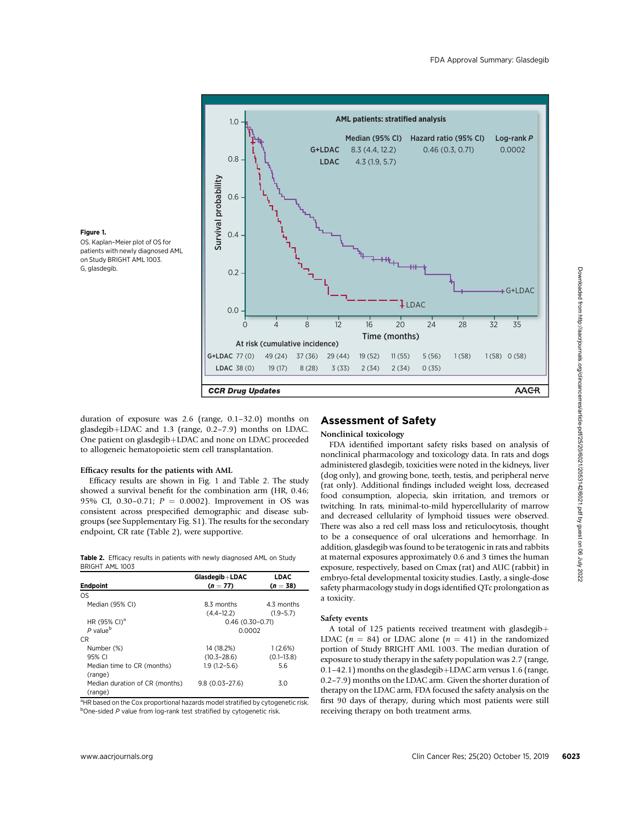

Figure 1. OS. Kaplan–Meier plot of OS for patients with newly diagnosed AML on Study BRIGHT AML 1003.

duration of exposure was 2.6 (range, 0.1–32.0) months on glasdegib+LDAC and 1.3 (range, 0.2-7.9) months on LDAC. One patient on glasdegib+LDAC and none on LDAC proceeded to allogeneic hematopoietic stem cell transplantation.

#### Efficacy results for the patients with AML

Efficacy results are shown in Fig. 1 and Table 2. The study showed a survival benefit for the combination arm (HR, 0.46; 95% CI, 0.30-0.71;  $P = 0.0002$ ). Improvement in OS was consistent across prespecified demographic and disease subgroups (see Supplementary Fig. S1). The results for the secondary endpoint, CR rate (Table 2), were supportive.

| <b>Table 2.</b> Efficacy results in patients with newly diagnosed AML on Study |  |  |  |
|--------------------------------------------------------------------------------|--|--|--|
| BRIGHT AML 1003                                                                |  |  |  |

| Glasdegib+LDAC     | <b>LDAC</b>    |  |  |
|--------------------|----------------|--|--|
| $(n = 77)$         | $(n = 38)$     |  |  |
|                    |                |  |  |
| 8.3 months         | 4.3 months     |  |  |
| $(4.4 - 12.2)$     | $(1.9 - 5.7)$  |  |  |
| $0.46(0.30-0.71)$  |                |  |  |
| 0.0002             |                |  |  |
|                    |                |  |  |
| 14 (18.2%)         | 1(2.6%)        |  |  |
| $(10.3 - 28.6)$    | $(0.1 - 13.8)$ |  |  |
| $1.9(1.2 - 5.6)$   | 5.6            |  |  |
|                    |                |  |  |
| $9.8(0.03 - 27.6)$ | 3.0            |  |  |
|                    |                |  |  |
|                    |                |  |  |

<sup>a</sup>HR based on the Cox proportional hazards model stratified by cytogenetic risk. <sup>b</sup>One-sided P value from log-rank test stratified by cytogenetic risk.

## Assessment of Safety

#### Nonclinical toxicology

FDA identified important safety risks based on analysis of nonclinical pharmacology and toxicology data. In rats and dogs administered glasdegib, toxicities were noted in the kidneys, liver (dog only), and growing bone, teeth, testis, and peripheral nerve (rat only). Additional findings included weight loss, decreased food consumption, alopecia, skin irritation, and tremors or twitching. In rats, minimal-to-mild hypercellularity of marrow and decreased cellularity of lymphoid tissues were observed. There was also a red cell mass loss and reticulocytosis, thought to be a consequence of oral ulcerations and hemorrhage. In addition, glasdegib was found to be teratogenic in rats and rabbits at maternal exposures approximately 0.6 and 3 times the human exposure, respectively, based on Cmax (rat) and AUC (rabbit) in embryo-fetal developmental toxicity studies. Lastly, a single-dose safety pharmacology study in dogs identified QTc prolongation as a toxicity.

## Safety events

A total of 125 patients received treatment with glasdegib $+$ LDAC ( $n = 84$ ) or LDAC alone ( $n = 41$ ) in the randomized portion of Study BRIGHT AML 1003. The median duration of exposure to study therapy in the safety population was 2.7 (range,  $0.1-42.1$ ) months on the glasdegib + LDAC arm versus 1.6 (range, 0.2–7.9) months on the LDAC arm. Given the shorter duration of therapy on the LDAC arm, FDA focused the safety analysis on the first 90 days of therapy, during which most patients were still receiving therapy on both treatment arms.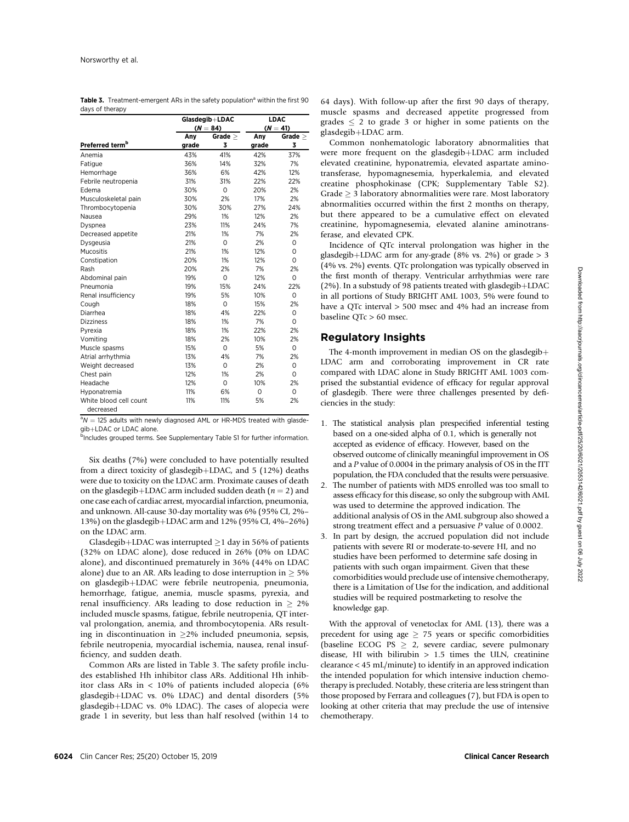|                                     |            | Glasdegib+LDAC | <b>LDAC</b> |              |  |
|-------------------------------------|------------|----------------|-------------|--------------|--|
|                                     | $(N = 84)$ |                |             | $(N = 41)$   |  |
|                                     | Any        | Grade $\geq$   | Any         | Grade $\geq$ |  |
| Preferred term <sup>b</sup>         | grade      | 3              | grade       | 3            |  |
| Anemia                              | 43%        | 41%            | 42%         | 37%          |  |
| Fatigue                             | 36%        | 14%            | 32%         | 7%           |  |
| Hemorrhage                          | 36%        | 6%             | 42%         | 12%          |  |
| Febrile neutropenia                 | 31%        | 31%            | 22%         | 22%          |  |
| Edema                               | 30%        | $\Omega$       | 20%         | 2%           |  |
| Musculoskeletal pain                | 30%        | 2%             | 17%         | 2%           |  |
| Thrombocytopenia                    | 30%        | 30%            | 27%         | 24%          |  |
| Nausea                              | 29%        | 1%             | 12%         | 2%           |  |
| Dyspnea                             | 23%        | 11%            | 24%         | 7%           |  |
| Decreased appetite                  | 21%        | 1%             | 7%          | 2%           |  |
| Dysgeusia                           | 21%        | $\Omega$       | 2%          | 0            |  |
| Mucositis                           | 21%        | 1%             | 12%         | 0            |  |
| Constipation                        | 20%        | 1%             | 12%         | $\Omega$     |  |
| Rash                                | 20%        | 2%             | 7%          | 2%           |  |
| Abdominal pain                      | 19%        | $\Omega$       | 12%         | 0            |  |
| Pneumonia                           | 19%        | 15%            | 24%         | 22%          |  |
| Renal insufficiency                 | 19%        | 5%             | 10%         | 0            |  |
| Cough                               | 18%        | 0              | 15%         | 2%           |  |
| Diarrhea                            | 18%        | 4%             | 22%         | 0            |  |
| <b>Dizziness</b>                    | 18%        | 1%             | 7%          | $\Omega$     |  |
| Pyrexia                             | 18%        | 1%             | 22%         | 2%           |  |
| Vomiting                            | 18%        | 2%             | 10%         | 2%           |  |
| Muscle spasms                       | 15%        | $\Omega$       | 5%          | $\Omega$     |  |
| Atrial arrhythmia                   | 13%        | 4%             | 7%          | 2%           |  |
| Weight decreased                    | 13%        | $\Omega$       | 2%          | 0            |  |
| Chest pain                          | 12%        | 1%             | 2%          | $\Omega$     |  |
| Headache                            | 12%        | $\Omega$       | 10%         | 2%           |  |
| Hyponatremia                        | 11%        | 6%             | $\Omega$    | 0            |  |
| White blood cell count<br>decreased | 11%        | 11%            | 5%          | 2%           |  |

Table 3. Treatment-emergent ARs in the safety population<sup>a</sup> within the first 90 days of therapy

 $^{a}N = 125$  adults with newly diagnosed AML or HR-MDS treated with glasdegib+LDAC or LDAC alone.

<sup>b</sup>Includes grouped terms. See Supplementary Table S1 for further information.

Six deaths (7%) were concluded to have potentially resulted from a direct toxicity of glasdegib+LDAC, and  $5$  (12%) deaths were due to toxicity on the LDAC arm. Proximate causes of death on the glasdegib+LDAC arm included sudden death ( $n = 2$ ) and one case each of cardiac arrest, myocardial infarction, pneumonia, and unknown. All-cause 30-day mortality was 6% (95% CI, 2%– 13%) on the glasdegib+LDAC arm and 12% (95% CI, 4%-26%) on the LDAC arm.

Glasdegib+LDAC was interrupted  $\geq$ 1 day in 56% of patients (32% on LDAC alone), dose reduced in 26% (0% on LDAC alone), and discontinued prematurely in 36% (44% on LDAC alone) due to an AR. ARs leading to dose interruption in  $> 5\%$ on glasdegib+LDAC were febrile neutropenia, pneumonia, hemorrhage, fatigue, anemia, muscle spasms, pyrexia, and renal insufficiency. ARs leading to dose reduction in  $> 2\%$ included muscle spasms, fatigue, febrile neutropenia, QT interval prolongation, anemia, and thrombocytopenia. ARs resulting in discontinuation in  $\geq$ 2% included pneumonia, sepsis, febrile neutropenia, myocardial ischemia, nausea, renal insufficiency, and sudden death.

Common ARs are listed in Table 3. The safety profile includes established Hh inhibitor class ARs. Additional Hh inhibitor class ARs in < 10% of patients included alopecia (6% glasdegib+LDAC vs.  $0\%$  LDAC) and dental disorders (5% glasdegib+LDAC vs. 0% LDAC). The cases of alopecia were grade 1 in severity, but less than half resolved (within 14 to 64 days). With follow-up after the first 90 days of therapy, muscle spasms and decreased appetite progressed from grades  $\leq$  2 to grade 3 or higher in some patients on the glasdegib+LDAC arm.

Common nonhematologic laboratory abnormalities that were more frequent on the glasdegib+LDAC arm included elevated creatinine, hyponatremia, elevated aspartate aminotransferase, hypomagnesemia, hyperkalemia, and elevated creatine phosphokinase (CPK; Supplementary Table S2). Grade  $\geq$  3 laboratory abnormalities were rare. Most laboratory abnormalities occurred within the first 2 months on therapy, but there appeared to be a cumulative effect on elevated creatinine, hypomagnesemia, elevated alanine aminotransferase, and elevated CPK.

Incidence of QTc interval prolongation was higher in the glasdegib+LDAC arm for any-grade (8% vs. 2%) or grade  $> 3$ (4% vs. 2%) events. QTc prolongation was typically observed in the first month of therapy. Ventricular arrhythmias were rare (2%). In a substudy of 98 patients treated with glasdegib+LDAC in all portions of Study BRIGHT AML 1003, 5% were found to have a QTc interval > 500 msec and 4% had an increase from baseline QTc > 60 msec.

## Regulatory Insights

The 4-month improvement in median OS on the glasdegib $+$ LDAC arm and corroborating improvement in CR rate compared with LDAC alone in Study BRIGHT AML 1003 comprised the substantial evidence of efficacy for regular approval of glasdegib. There were three challenges presented by deficiencies in the study:

- 1. The statistical analysis plan prespecified inferential testing based on a one-sided alpha of 0.1, which is generally not accepted as evidence of efficacy. However, based on the observed outcome of clinically meaningful improvement in OS and a P value of 0.0004 in the primary analysis of OS in the ITT population, the FDA concluded that the results were persuasive.
- 2. The number of patients with MDS enrolled was too small to assess efficacy for this disease, so only the subgroup with AML was used to determine the approved indication. The additional analysis of OS in the AML subgroup also showed a strong treatment effect and a persuasive P value of 0.0002.
- 3. In part by design, the accrued population did not include patients with severe RI or moderate-to-severe HI, and no studies have been performed to determine safe dosing in patients with such organ impairment. Given that these comorbidities would preclude use of intensive chemotherapy, there is a Limitation of Use for the indication, and additional studies will be required postmarketing to resolve the knowledge gap.

With the approval of venetoclax for AML (13), there was a precedent for using age  $\geq$  75 years or specific comorbidities (baseline ECOG PS  $> 2$ , severe cardiac, severe pulmonary disease, HI with bilirubin  $> 1.5$  times the ULN, creatinine clearance < 45 mL/minute) to identify in an approved indication the intended population for which intensive induction chemotherapy is precluded. Notably, these criteria are less stringent than those proposed by Ferrara and colleagues (7), but FDA is open to looking at other criteria that may preclude the use of intensive chemotherapy.